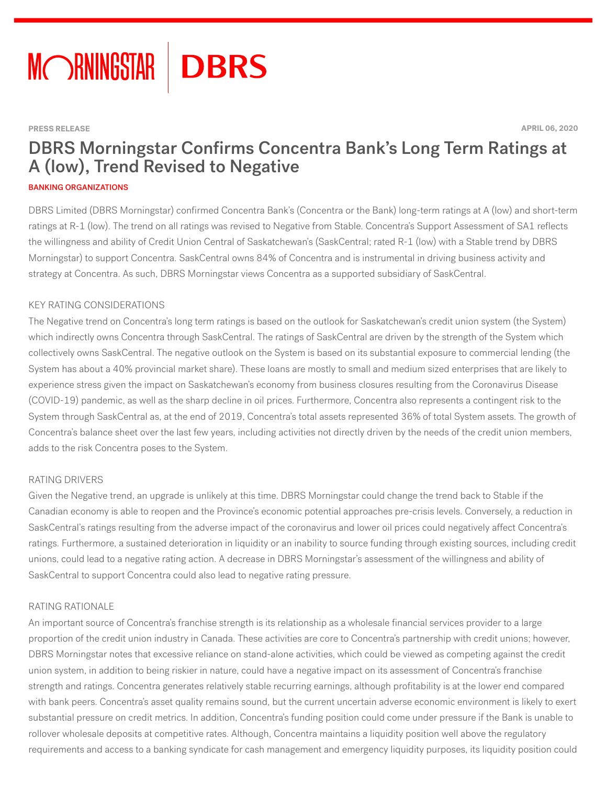

#### **PRESS RELEASE APRIL 06, 2020**

# DBRS Morningstar Confirms Concentra Bank's Long Term Ratings at A (low), Trend Revised to Negative

#### BANKING ORGANIZATIONS

DBRS Limited (DBRS Morningstar) confirmed Concentra Bank's (Concentra or the Bank) long-term ratings at A (low) and short-term ratings at R-1 (low). The trend on all ratings was revised to Negative from Stable. Concentra's Support Assessment of SA1 reflects the willingness and ability of Credit Union Central of Saskatchewan's (SaskCentral; rated R-1 (low) with a Stable trend by DBRS Morningstar) to support Concentra. SaskCentral owns 84% of Concentra and is instrumental in driving business activity and strategy at Concentra. As such, DBRS Morningstar views Concentra as a supported subsidiary of SaskCentral.

#### KEY RATING CONSIDERATIONS

The Negative trend on Concentra's long term ratings is based on the outlook for Saskatchewan's credit union system (the System) which indirectly owns Concentra through SaskCentral. The ratings of SaskCentral are driven by the strength of the System which collectively owns SaskCentral. The negative outlook on the System is based on its substantial exposure to commercial lending (the System has about a 40% provincial market share). These loans are mostly to small and medium sized enterprises that are likely to experience stress given the impact on Saskatchewan's economy from business closures resulting from the Coronavirus Disease (COVID-19) pandemic, as well as the sharp decline in oil prices. Furthermore, Concentra also represents a contingent risk to the System through SaskCentral as, at the end of 2019, Concentra's total assets represented 36% of total System assets. The growth of Concentra's balance sheet over the last few years, including activities not directly driven by the needs of the credit union members, adds to the risk Concentra poses to the System.

#### RATING DRIVERS

Given the Negative trend, an upgrade is unlikely at this time. DBRS Morningstar could change the trend back to Stable if the Canadian economy is able to reopen and the Province's economic potential approaches pre-crisis levels. Conversely, a reduction in SaskCentral's ratings resulting from the adverse impact of the coronavirus and lower oil prices could negatively affect Concentra's ratings. Furthermore, a sustained deterioration in liquidity or an inability to source funding through existing sources, including credit unions, could lead to a negative rating action. A decrease in DBRS Morningstar's assessment of the willingness and ability of SaskCentral to support Concentra could also lead to negative rating pressure.

#### RATING RATIONALE

An important source of Concentra's franchise strength is its relationship as a wholesale financial services provider to a large proportion of the credit union industry in Canada. These activities are core to Concentra's partnership with credit unions; however, DBRS Morningstar notes that excessive reliance on stand-alone activities, which could be viewed as competing against the credit union system, in addition to being riskier in nature, could have a negative impact on its assessment of Concentra's franchise strength and ratings. Concentra generates relatively stable recurring earnings, although profitability is at the lower end compared with bank peers. Concentra's asset quality remains sound, but the current uncertain adverse economic environment is likely to exert substantial pressure on credit metrics. In addition, Concentra's funding position could come under pressure if the Bank is unable to rollover wholesale deposits at competitive rates. Although, Concentra maintains a liquidity position well above the regulatory requirements and access to a banking syndicate for cash management and emergency liquidity purposes, its liquidity position could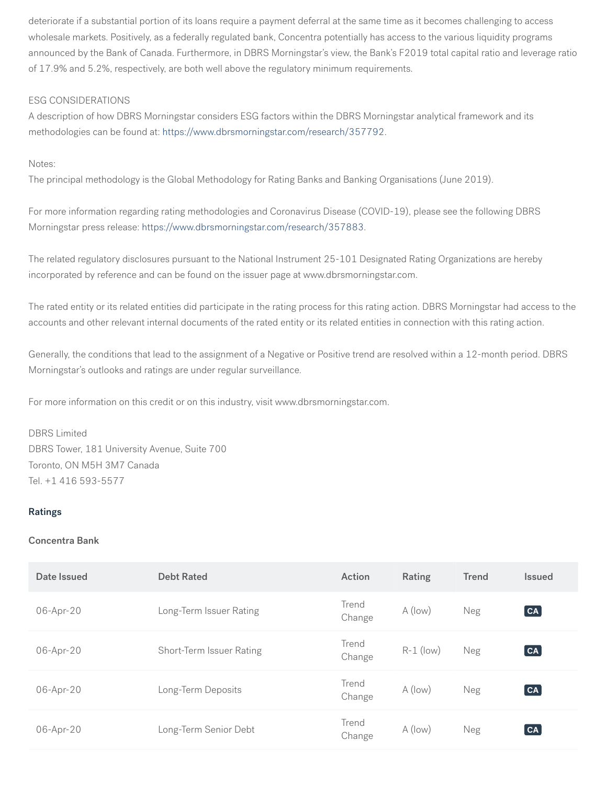deteriorate if a substantial portion of its loans require a payment deferral at the same time as it becomes challenging to access wholesale markets. Positively, as a federally regulated bank, Concentra potentially has access to the various liquidity programs announced by the Bank of Canada. Furthermore, in DBRS Morningstar's view, the Bank's F2019 total capital ratio and leverage ratio of 17.9% and 5.2%, respectively, are both well above the regulatory minimum requirements.

# ESG CONSIDERATIONS

A description of how DBRS Morningstar considers ESG factors within the DBRS Morningstar analytical framework and its methodologies can be found at: [https://www.dbrsmorningstar.com/research/357792.](https://www.dbrsmorningstar.com/research/357792)

Notes:

The principal methodology is the Global Methodology for Rating Banks and Banking Organisations (June 2019).

For more information regarding rating methodologies and Coronavirus Disease (COVID-19), please see the following DBRS Morningstar press release:<https://www.dbrsmorningstar.com/research/357883>.

The related regulatory disclosures pursuant to the National Instrument 25-101 Designated Rating Organizations are hereby incorporated by reference and can be found on the issuer page at www.dbrsmorningstar.com.

The rated entity or its related entities did participate in the rating process for this rating action. DBRS Morningstar had access to the accounts and other relevant internal documents of the rated entity or its related entities in connection with this rating action.

Generally, the conditions that lead to the assignment of a Negative or Positive trend are resolved within a 12-month period. DBRS Morningstar's outlooks and ratings are under regular surveillance.

For more information on this credit or on this industry, visit www.dbrsmorningstar.com.

## DBRS Limited

DBRS Tower, 181 University Avenue, Suite 700 Toronto, ON M5H 3M7 Canada Tel. +1 416 593-5577

## Ratings

## Concentra Bank

| Date Issued | <b>Debt Rated</b>        | Action          | Rating      | <b>Trend</b> | <b>Issued</b>         |
|-------------|--------------------------|-----------------|-------------|--------------|-----------------------|
| 06-Apr-20   | Long-Term Issuer Rating  | Trend<br>Change | A (low)     | Neg          | $\boxed{\mathsf{CA}}$ |
| 06-Apr-20   | Short-Term Issuer Rating | Trend<br>Change | $R-1$ (low) | Neg          | CA                    |
| 06-Apr-20   | Long-Term Deposits       | Trend<br>Change | A (low)     | Neg          | $\boxed{\mathsf{CA}}$ |
| 06-Apr-20   | Long-Term Senior Debt    | Trend<br>Change | A (low)     | Neg          | CA                    |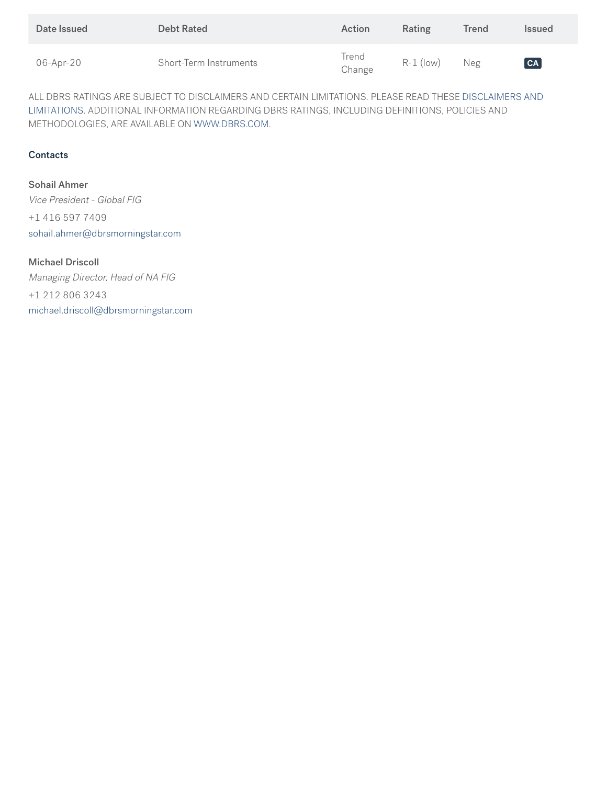| Date Issued | <b>Debt Rated</b>      | Action          | Rating      | Trend | <b>Issued</b>   |
|-------------|------------------------|-----------------|-------------|-------|-----------------|
| 06-Apr-20   | Short-Term Instruments | Trend<br>Change | $R-1$ (low) | Neg   | $\overline{CA}$ |

ALL DBRS RATINGS ARE SUBJECT TO DISCLAIMERS AND CERTAIN LIMITATIONS. PLEASE READ THESE [DISCLAIMERS AND](https://www.dbrs.com/disclaimer/) [LIMITATIONS](https://www.dbrs.com/disclaimer/). ADDITIONAL INFORMATION REGARDING DBRS RATINGS, INCLUDING DEFINITIONS, POLICIES AND METHODOLOGIES, ARE AVAILABLE ON [WWW.DBRS.COM](https://www.dbrs.com).

# **Contacts**

Sohail Ahmer Vice President - Global FIG +1 416 597 7409 [sohail.ahmer@dbrsmorningstar.com](mailto:sohail.ahmer@dbrsmorningstar.com)

# Michael Driscoll

Managing Director, Head of NA FIG +1 212 806 3243 [michael.driscoll@dbrsmorningstar.com](mailto:michael.driscoll@dbrsmorningstar.com)